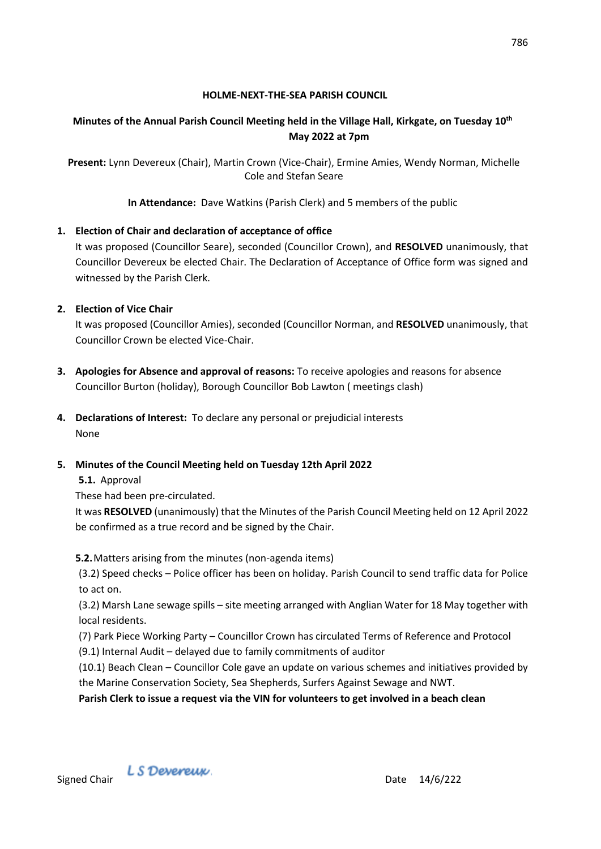### **HOLME-NEXT-THE-SEA PARISH COUNCIL**

# **Minutes of the Annual Parish Council Meeting held in the Village Hall, Kirkgate, on Tuesday 10 th May 2022 at 7pm**

**Present:** Lynn Devereux (Chair), Martin Crown (Vice-Chair), Ermine Amies, Wendy Norman, Michelle Cole and Stefan Seare

**In Attendance:** Dave Watkins (Parish Clerk) and 5 members of the public

# **1. Election of Chair and declaration of acceptance of office**

It was proposed (Councillor Seare), seconded (Councillor Crown), and **RESOLVED** unanimously, that Councillor Devereux be elected Chair. The Declaration of Acceptance of Office form was signed and witnessed by the Parish Clerk.

# **2. Election of Vice Chair**

It was proposed (Councillor Amies), seconded (Councillor Norman, and **RESOLVED** unanimously, that Councillor Crown be elected Vice-Chair.

- **3. Apologies for Absence and approval of reasons:** To receive apologies and reasons for absence Councillor Burton (holiday), Borough Councillor Bob Lawton ( meetings clash)
- **4. Declarations of Interest:** To declare any personal or prejudicial interests None

# **5. Minutes of the Council Meeting held on Tuesday 12th April 2022**

**5.1.** Approval

These had been pre-circulated.

It was **RESOLVED** (unanimously) that the Minutes of the Parish Council Meeting held on 12 April 2022 be confirmed as a true record and be signed by the Chair.

**5.2.**Matters arising from the minutes (non-agenda items)

(3.2) Speed checks – Police officer has been on holiday. Parish Council to send traffic data for Police to act on.

(3.2) Marsh Lane sewage spills – site meeting arranged with Anglian Water for 18 May together with local residents.

- (7) Park Piece Working Party Councillor Crown has circulated Terms of Reference and Protocol
- (9.1) Internal Audit delayed due to family commitments of auditor

(10.1) Beach Clean – Councillor Cole gave an update on various schemes and initiatives provided by the Marine Conservation Society, Sea Shepherds, Surfers Against Sewage and NWT.

**Parish Clerk to issue a request via the VIN for volunteers to get involved in a beach clean**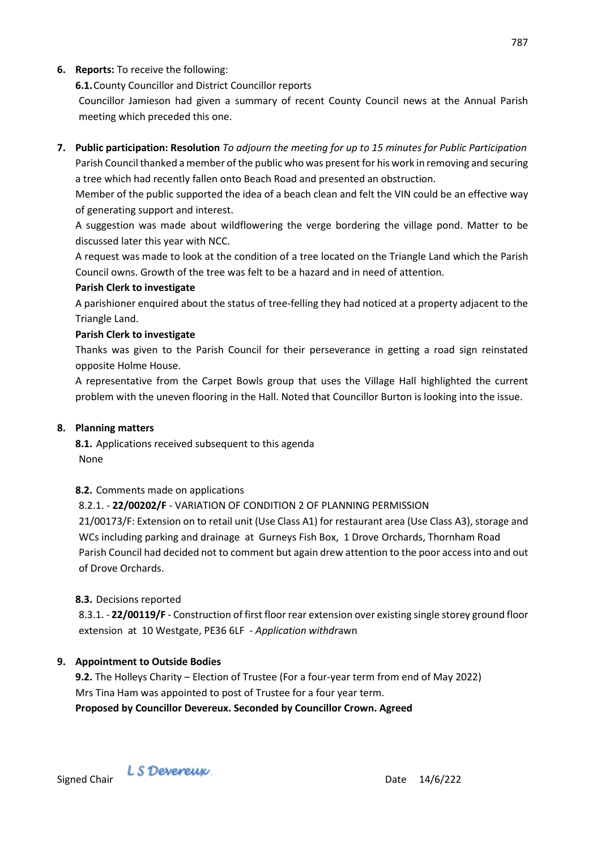## **6. Reports:** To receive the following:

**6.1.**County Councillor and District Councillor reports

Councillor Jamieson had given a summary of recent County Council news at the Annual Parish meeting which preceded this one.

**7. Public participation: Resolution** *To adjourn the meeting for up to 15 minutes for Public Participation* Parish Council thanked a member of the public who was present for his work in removing and securing a tree which had recently fallen onto Beach Road and presented an obstruction.

Member of the public supported the idea of a beach clean and felt the VIN could be an effective way of generating support and interest.

A suggestion was made about wildflowering the verge bordering the village pond. Matter to be discussed later this year with NCC.

A request was made to look at the condition of a tree located on the Triangle Land which the Parish Council owns. Growth of the tree was felt to be a hazard and in need of attention.

#### **Parish Clerk to investigate**

A parishioner enquired about the status of tree-felling they had noticed at a property adjacent to the Triangle Land.

### **Parish Clerk to investigate**

Thanks was given to the Parish Council for their perseverance in getting a road sign reinstated opposite Holme House.

A representative from the Carpet Bowls group that uses the Village Hall highlighted the current problem with the uneven flooring in the Hall. Noted that Councillor Burton is looking into the issue.

#### **8. Planning matters**

**8.1.** Applications received subsequent to this agenda None

### **8.2.** Comments made on applications

8.2.1. - **22/00202/F** - VARIATION OF CONDITION 2 OF PLANNING PERMISSION 21/00173/F: Extension on to retail unit (Use Class A1) for restaurant area (Use Class A3), storage and WCs including parking and drainage at Gurneys Fish Box, 1 Drove Orchards, Thornham Road Parish Council had decided not to comment but again drew attention to the poor access into and out of Drove Orchards.

#### **8.3.** Decisions reported

8.3.1. - **22/00119/F** - Construction of first floor rear extension over existing single storey ground floor extension at 10 Westgate, PE36 6LF - *Application withdr*awn

### **9. Appointment to Outside Bodies**

**9.2.** The Holleys Charity – Election of Trustee (For a four-year term from end of May 2022) Mrs Tina Ham was appointed to post of Trustee for a four year term. **Proposed by Councillor Devereux. Seconded by Councillor Crown. Agreed**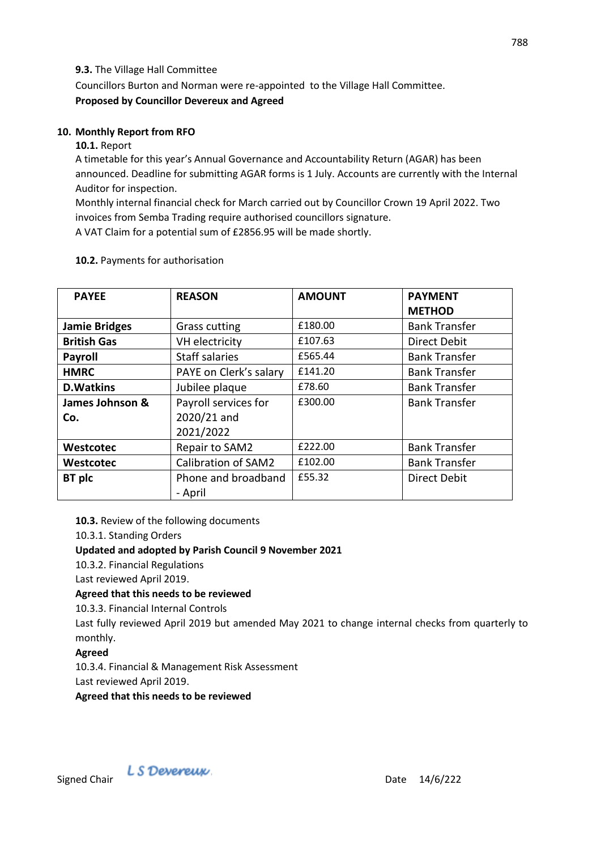### **9.3.** The Village Hall Committee

Councillors Burton and Norman were re-appointed to the Village Hall Committee. **Proposed by Councillor Devereux and Agreed**

## **10. Monthly Report from RFO**

### **10.1.** Report

A timetable for this year's Annual Governance and Accountability Return (AGAR) has been announced. Deadline for submitting AGAR forms is 1 July. Accounts are currently with the Internal Auditor for inspection.

Monthly internal financial check for March carried out by Councillor Crown 19 April 2022. Two invoices from Semba Trading require authorised councillors signature.

A VAT Claim for a potential sum of £2856.95 will be made shortly.

| <b>PAYEE</b>         | <b>REASON</b>              | <b>AMOUNT</b> | <b>PAYMENT</b><br><b>METHOD</b> |
|----------------------|----------------------------|---------------|---------------------------------|
| <b>Jamie Bridges</b> | <b>Grass cutting</b>       | £180.00       | <b>Bank Transfer</b>            |
| <b>British Gas</b>   | VH electricity             | £107.63       | <b>Direct Debit</b>             |
| <b>Payroll</b>       | <b>Staff salaries</b>      | £565.44       | <b>Bank Transfer</b>            |
| <b>HMRC</b>          | PAYE on Clerk's salary     | £141.20       | <b>Bank Transfer</b>            |
| <b>D.Watkins</b>     | Jubilee plaque             | £78.60        | <b>Bank Transfer</b>            |
| James Johnson &      | Payroll services for       | £300.00       | <b>Bank Transfer</b>            |
| Co.                  | 2020/21 and                |               |                                 |
|                      | 2021/2022                  |               |                                 |
| Westcotec            | Repair to SAM2             | £222.00       | <b>Bank Transfer</b>            |
| Westcotec            | <b>Calibration of SAM2</b> | £102.00       | <b>Bank Transfer</b>            |
| BT plc               | Phone and broadband        | £55.32        | <b>Direct Debit</b>             |
|                      | - April                    |               |                                 |

### **10.2.** Payments for authorisation

**10.3.** Review of the following documents

10.3.1. Standing Orders

## **Updated and adopted by Parish Council 9 November 2021**

10.3.2. Financial Regulations

Last reviewed April 2019.

## **Agreed that this needs to be reviewed**

10.3.3. Financial Internal Controls

Last fully reviewed April 2019 but amended May 2021 to change internal checks from quarterly to monthly.

## **Agreed**

10.3.4. Financial & Management Risk Assessment Last reviewed April 2019.

**Agreed that this needs to be reviewed**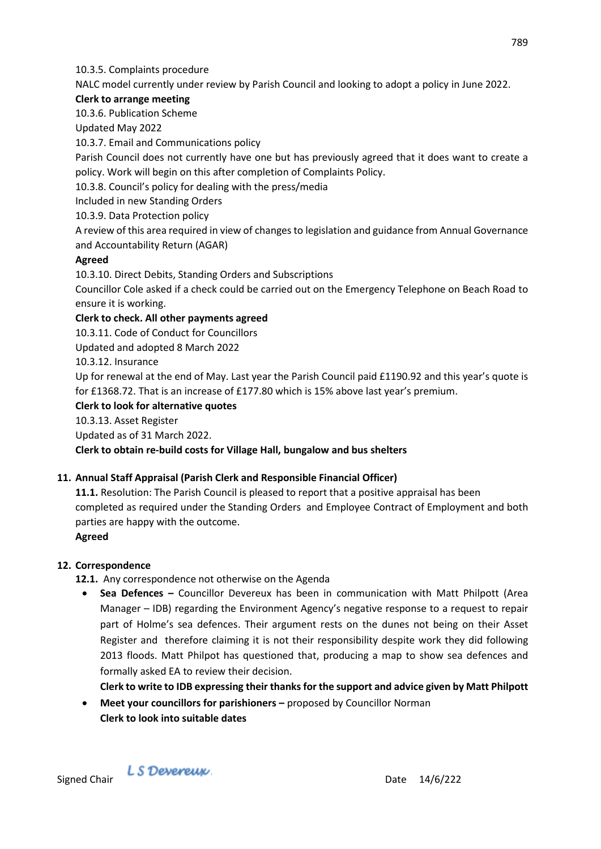### 10.3.5. Complaints procedure

NALC model currently under review by Parish Council and looking to adopt a policy in June 2022.

### **Clerk to arrange meeting**

10.3.6. Publication Scheme

Updated May 2022

10.3.7. Email and Communications policy

Parish Council does not currently have one but has previously agreed that it does want to create a policy. Work will begin on this after completion of Complaints Policy.

10.3.8. Council's policy for dealing with the press/media

Included in new Standing Orders

10.3.9. Data Protection policy

A review of this area required in view of changes to legislation and guidance from Annual Governance and Accountability Return (AGAR)

## **Agreed**

10.3.10. Direct Debits, Standing Orders and Subscriptions

Councillor Cole asked if a check could be carried out on the Emergency Telephone on Beach Road to ensure it is working.

## **Clerk to check. All other payments agreed**

10.3.11. Code of Conduct for Councillors

Updated and adopted 8 March 2022

10.3.12. Insurance

Up for renewal at the end of May. Last year the Parish Council paid £1190.92 and this year's quote is for £1368.72. That is an increase of £177.80 which is 15% above last year's premium.

## **Clerk to look for alternative quotes**

10.3.13. Asset Register

Updated as of 31 March 2022.

## **Clerk to obtain re-build costs for Village Hall, bungalow and bus shelters**

## **11. Annual Staff Appraisal (Parish Clerk and Responsible Financial Officer)**

**11.1.** Resolution: The Parish Council is pleased to report that a positive appraisal has been completed as required under the Standing Orders and Employee Contract of Employment and both parties are happy with the outcome.

### **Agreed**

## **12. Correspondence**

- **12.1.** Any correspondence not otherwise on the Agenda
	- **Sea Defences –** Councillor Devereux has been in communication with Matt Philpott (Area Manager – IDB) regarding the Environment Agency's negative response to a request to repair part of Holme's sea defences. Their argument rests on the dunes not being on their Asset Register and therefore claiming it is not their responsibility despite work they did following 2013 floods. Matt Philpot has questioned that, producing a map to show sea defences and formally asked EA to review their decision.

**Clerk to write to IDB expressing their thanks for the support and advice given by Matt Philpott**

• Meet your councillors for parishioners – proposed by Councillor Norman **Clerk to look into suitable dates**